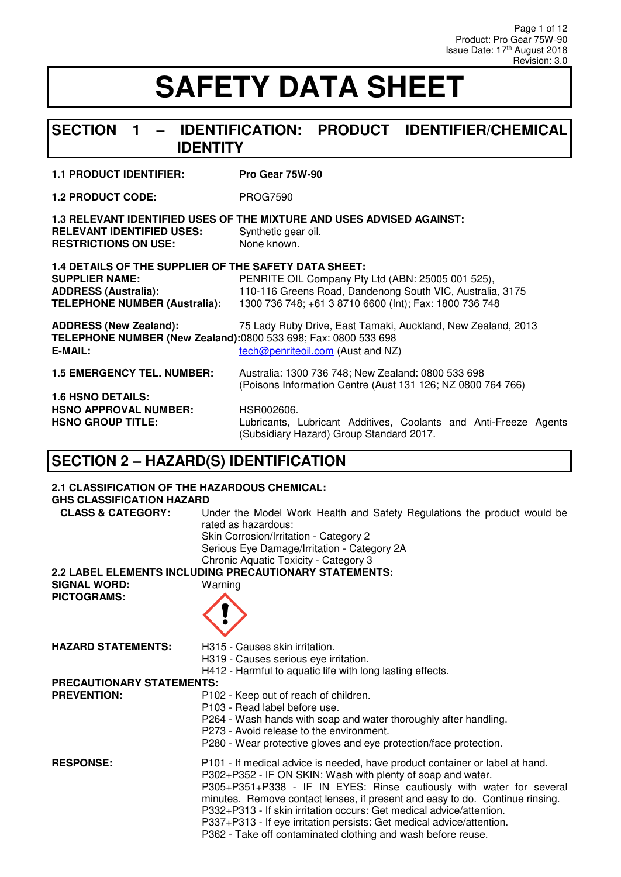#### **SECTION 1 – IDENTIFICATION: PRODUCT IDENTIFIER/CHEMICAL IDENTITY**

#### **1.1 PRODUCT IDENTIFIER: Pro Gear 75W-90**

**1.2 PRODUCT CODE:** PROG7590

**1.3 RELEVANT IDENTIFIED USES OF THE MIXTURE AND USES ADVISED AGAINST: RELEVANT IDENTIFIED USES:** Synthetic gear of **RESTRICTIONS ON USE:** None known. **RESTRICTIONS ON USE:** 

| 1.4 DETAILS OF THE SUPPLIER OF THE SAFETY DATA SHEET:                                                      |                                                                                                                   |
|------------------------------------------------------------------------------------------------------------|-------------------------------------------------------------------------------------------------------------------|
| <b>SUPPLIER NAME:</b>                                                                                      | PENRITE OIL Company Pty Ltd (ABN: 25005 001 525),                                                                 |
| <b>ADDRESS (Australia):</b>                                                                                | 110-116 Greens Road, Dandenong South VIC, Australia, 3175                                                         |
| <b>TELEPHONE NUMBER (Australia):</b>                                                                       | 1300 736 748; +61 3 8710 6600 (Int); Fax: 1800 736 748                                                            |
| <b>ADDRESS (New Zealand):</b><br>TELEPHONE NUMBER (New Zealand):0800 533 698; Fax: 0800 533 698<br>E-MAIL: | 75 Lady Ruby Drive, East Tamaki, Auckland, New Zealand, 2013<br>tech@penriteoil.com (Aust and NZ)                 |
| <b>1.5 EMERGENCY TEL. NUMBER:</b>                                                                          | Australia: 1300 736 748; New Zealand: 0800 533 698<br>(Poisons Information Centre (Aust 131 126; NZ 0800 764 766) |
| <b>1.6 HSNO DETAILS:</b>                                                                                   |                                                                                                                   |
| <b>HSNO APPROVAL NUMBER:</b>                                                                               | HSR002606.                                                                                                        |
| <b>HSNO GROUP TITLE:</b>                                                                                   | Lubricants, Lubricant Additives, Coolants and Anti-Freeze Agents<br>(Subsidiary Hazard) Group Standard 2017.      |

#### **SECTION 2 – HAZARD(S) IDENTIFICATION**

#### **2.1 CLASSIFICATION OF THE HAZARDOUS CHEMICAL:**

**GHS CLASSIFICATION HAZARD** 

| GHS CLASSIFICATION HAZAND                 |                                                                                                                                                                                                                                                                                                                                                                                                                                                                                                                      |
|-------------------------------------------|----------------------------------------------------------------------------------------------------------------------------------------------------------------------------------------------------------------------------------------------------------------------------------------------------------------------------------------------------------------------------------------------------------------------------------------------------------------------------------------------------------------------|
| <b>CLASS &amp; CATEGORY:</b>              | Under the Model Work Health and Safety Regulations the product would be<br>rated as hazardous:<br>Skin Corrosion/Irritation - Category 2<br>Serious Eye Damage/Irritation - Category 2A<br>Chronic Aquatic Toxicity - Category 3                                                                                                                                                                                                                                                                                     |
|                                           | 2.2 LABEL ELEMENTS INCLUDING PRECAUTIONARY STATEMENTS:                                                                                                                                                                                                                                                                                                                                                                                                                                                               |
| <b>SIGNAL WORD:</b><br><b>PICTOGRAMS:</b> | Warning                                                                                                                                                                                                                                                                                                                                                                                                                                                                                                              |
| <b>HAZARD STATEMENTS:</b>                 | H <sub>315</sub> - Causes skin irritation.<br>H319 - Causes serious eye irritation.<br>H412 - Harmful to aquatic life with long lasting effects.                                                                                                                                                                                                                                                                                                                                                                     |
| PRECAUTIONARY STATEMENTS:                 |                                                                                                                                                                                                                                                                                                                                                                                                                                                                                                                      |
| <b>PREVENTION:</b>                        | P102 - Keep out of reach of children.<br>P103 - Read label before use.<br>P264 - Wash hands with soap and water thoroughly after handling.<br>P273 - Avoid release to the environment.<br>P280 - Wear protective gloves and eye protection/face protection.                                                                                                                                                                                                                                                          |
| <b>RESPONSE:</b>                          | P101 - If medical advice is needed, have product container or label at hand.<br>P302+P352 - IF ON SKIN: Wash with plenty of soap and water.<br>P305+P351+P338 - IF IN EYES: Rinse cautiously with water for several<br>minutes. Remove contact lenses, if present and easy to do. Continue rinsing.<br>P332+P313 - If skin irritation occurs: Get medical advice/attention.<br>P337+P313 - If eye irritation persists: Get medical advice/attention.<br>P362 - Take off contaminated clothing and wash before reuse. |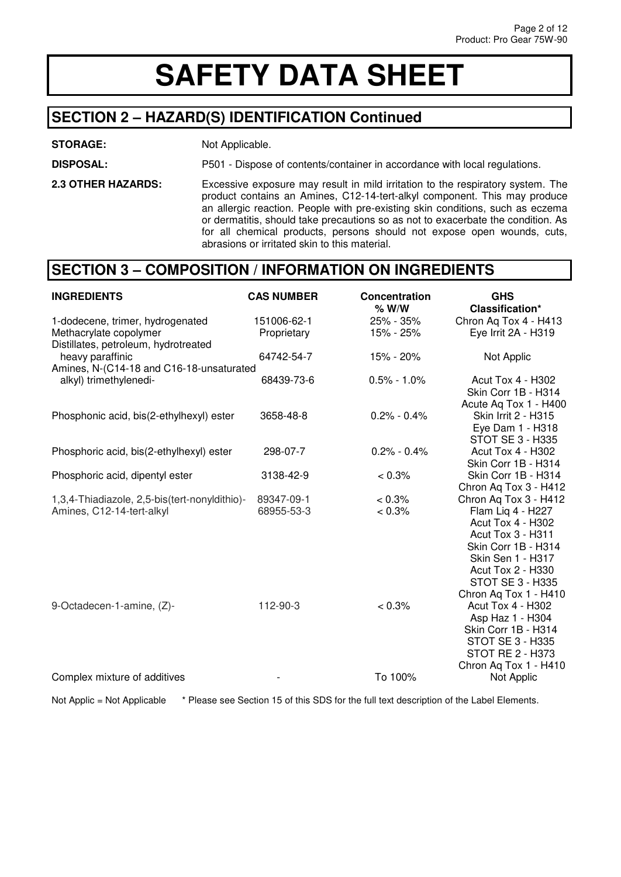#### **SECTION 2 – HAZARD(S) IDENTIFICATION Continued**

#### **STORAGE:** Not Applicable.

**DISPOSAL:** P501 - Dispose of contents/container in accordance with local regulations.

**2.3 OTHER HAZARDS:** Excessive exposure may result in mild irritation to the respiratory system. The product contains an Amines, C12-14-tert-alkyl component. This may produce an allergic reaction. People with pre-existing skin conditions, such as eczema or dermatitis, should take precautions so as not to exacerbate the condition. As for all chemical products, persons should not expose open wounds, cuts, abrasions or irritated skin to this material.

#### **SECTION 3 – COMPOSITION / INFORMATION ON INGREDIENTS**

| <b>INGREDIENTS</b>                                                                                 | <b>CAS NUMBER</b>          | Concentration<br>$%$ W/W | <b>GHS</b><br>Classification*                                                                                                                                                                                                  |
|----------------------------------------------------------------------------------------------------|----------------------------|--------------------------|--------------------------------------------------------------------------------------------------------------------------------------------------------------------------------------------------------------------------------|
| 1-dodecene, trimer, hydrogenated<br>Methacrylate copolymer<br>Distillates, petroleum, hydrotreated | 151006-62-1<br>Proprietary | 25% - 35%<br>15% - 25%   | Chron Aq Tox 4 - H413<br>Eye Irrit 2A - H319                                                                                                                                                                                   |
| heavy paraffinic<br>Amines, N-(C14-18 and C16-18-unsaturated                                       | 64742-54-7                 | 15% - 20%                | Not Applic                                                                                                                                                                                                                     |
| alkyl) trimethylenedi-                                                                             | 68439-73-6                 | $0.5\% - 1.0\%$          | <b>Acut Tox 4 - H302</b><br>Skin Corr 1B - H314<br>Acute Aq Tox 1 - H400                                                                                                                                                       |
| Phosphonic acid, bis(2-ethylhexyl) ester                                                           | 3658-48-8                  | $0.2\% - 0.4\%$          | <b>Skin Irrit 2 - H315</b><br>Eye Dam 1 - H318<br>STOT SE 3 - H335                                                                                                                                                             |
| Phosphoric acid, bis(2-ethylhexyl) ester                                                           | 298-07-7                   | $0.2\% - 0.4\%$          | <b>Acut Tox 4 - H302</b><br>Skin Corr 1B - H314                                                                                                                                                                                |
| Phosphoric acid, dipentyl ester                                                                    | 3138-42-9                  | $< 0.3\%$                | Skin Corr 1B - H314<br>Chron Aq Tox 3 - H412                                                                                                                                                                                   |
| 1,3,4-Thiadiazole, 2,5-bis(tert-nonyldithio)-<br>Amines, C12-14-tert-alkyl                         | 89347-09-1<br>68955-53-3   | 0.3%<br>$< 0.3\%$        | Chron Aq Tox 3 - H412<br>Flam Lig 4 - H227<br><b>Acut Tox 4 - H302</b><br>Acut Tox 3 - H311<br>Skin Corr 1B - H314<br><b>Skin Sen 1 - H317</b><br><b>Acut Tox 2 - H330</b><br><b>STOT SE 3 - H335</b><br>Chron Aq Tox 1 - H410 |
| 9-Octadecen-1-amine, (Z)-                                                                          | 112-90-3                   | < 0.3%                   | <b>Acut Tox 4 - H302</b><br>Asp Haz 1 - H304<br>Skin Corr 1B - H314<br><b>STOT SE 3 - H335</b><br><b>STOT RE 2 - H373</b><br>Chron Aq Tox 1 - H410                                                                             |
| Complex mixture of additives                                                                       |                            | To 100%                  | Not Applic                                                                                                                                                                                                                     |

Not Applic = Not Applicable \* Please see Section 15 of this SDS for the full text description of the Label Elements.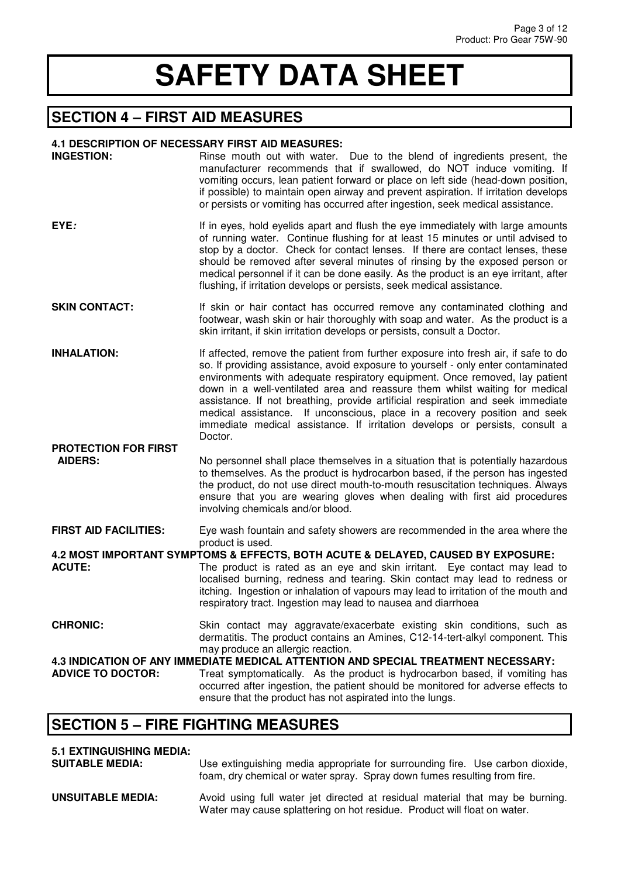#### **SECTION 4 – FIRST AID MEASURES**

#### **4.1 DESCRIPTION OF NECESSARY FIRST AID MEASURES:**

| <b>INGESTION:</b>                             | Rinse mouth out with water. Due to the blend of ingredients present, the<br>manufacturer recommends that if swallowed, do NOT induce vomiting. If<br>vomiting occurs, lean patient forward or place on left side (head-down position,<br>if possible) to maintain open airway and prevent aspiration. If irritation develops<br>or persists or vomiting has occurred after ingestion, seek medical assistance.                                                                                                                                                                                   |
|-----------------------------------------------|--------------------------------------------------------------------------------------------------------------------------------------------------------------------------------------------------------------------------------------------------------------------------------------------------------------------------------------------------------------------------------------------------------------------------------------------------------------------------------------------------------------------------------------------------------------------------------------------------|
| EYE:                                          | If in eyes, hold eyelids apart and flush the eye immediately with large amounts<br>of running water. Continue flushing for at least 15 minutes or until advised to<br>stop by a doctor. Check for contact lenses. If there are contact lenses, these<br>should be removed after several minutes of rinsing by the exposed person or<br>medical personnel if it can be done easily. As the product is an eye irritant, after<br>flushing, if irritation develops or persists, seek medical assistance.                                                                                            |
| SKIN CONTACT:                                 | If skin or hair contact has occurred remove any contaminated clothing and<br>footwear, wash skin or hair thoroughly with soap and water. As the product is a<br>skin irritant, if skin irritation develops or persists, consult a Doctor.                                                                                                                                                                                                                                                                                                                                                        |
| <b>INHALATION:</b>                            | If affected, remove the patient from further exposure into fresh air, if safe to do<br>so. If providing assistance, avoid exposure to yourself - only enter contaminated<br>environments with adequate respiratory equipment. Once removed, lay patient<br>down in a well-ventilated area and reassure them whilst waiting for medical<br>assistance. If not breathing, provide artificial respiration and seek immediate<br>medical assistance. If unconscious, place in a recovery position and seek<br>immediate medical assistance. If irritation develops or persists, consult a<br>Doctor. |
| <b>PROTECTION FOR FIRST</b><br><b>AIDERS:</b> | No personnel shall place themselves in a situation that is potentially hazardous<br>to themselves. As the product is hydrocarbon based, if the person has ingested<br>the product, do not use direct mouth-to-mouth resuscitation techniques. Always<br>ensure that you are wearing gloves when dealing with first aid procedures<br>involving chemicals and/or blood.                                                                                                                                                                                                                           |
| <b>FIRST AID FACILITIES:</b>                  | Eye wash fountain and safety showers are recommended in the area where the                                                                                                                                                                                                                                                                                                                                                                                                                                                                                                                       |
| <b>ACUTE:</b>                                 | product is used.<br>4.2 MOST IMPORTANT SYMPTOMS & EFFECTS, BOTH ACUTE & DELAYED, CAUSED BY EXPOSURE:<br>The product is rated as an eye and skin irritant. Eye contact may lead to<br>localised burning, redness and tearing. Skin contact may lead to redness or<br>itching. Ingestion or inhalation of vapours may lead to irritation of the mouth and<br>respiratory tract. Ingestion may lead to nausea and diarrhoea                                                                                                                                                                         |
| <b>CHRONIC:</b>                               | Skin contact may aggravate/exacerbate existing skin conditions, such as<br>dermatitis. The product contains an Amines, C12-14-tert-alkyl component. This<br>may produce an allergic reaction.                                                                                                                                                                                                                                                                                                                                                                                                    |
| <b>ADVICE TO DOCTOR:</b>                      | 4.3 INDICATION OF ANY IMMEDIATE MEDICAL ATTENTION AND SPECIAL TREATMENT NECESSARY:<br>Treat symptomatically. As the product is hydrocarbon based, if vomiting has<br>occurred after ingestion, the patient should be monitored for adverse effects to<br>ensure that the product has not aspirated into the lungs.                                                                                                                                                                                                                                                                               |
| CECTION E EIDE EICHTING MEACHDEC              |                                                                                                                                                                                                                                                                                                                                                                                                                                                                                                                                                                                                  |

#### **SECTION 5 – FIRE FIGHTING MEASURES**

### **5.1 EXTINGUISHING MEDIA:**

**SUITABLE MEDIA:** Use extinguishing media appropriate for surrounding fire. Use carbon dioxide, foam, dry chemical or water spray. Spray down fumes resulting from fire.

**UNSUITABLE MEDIA:** Avoid using full water jet directed at residual material that may be burning. Water may cause splattering on hot residue. Product will float on water.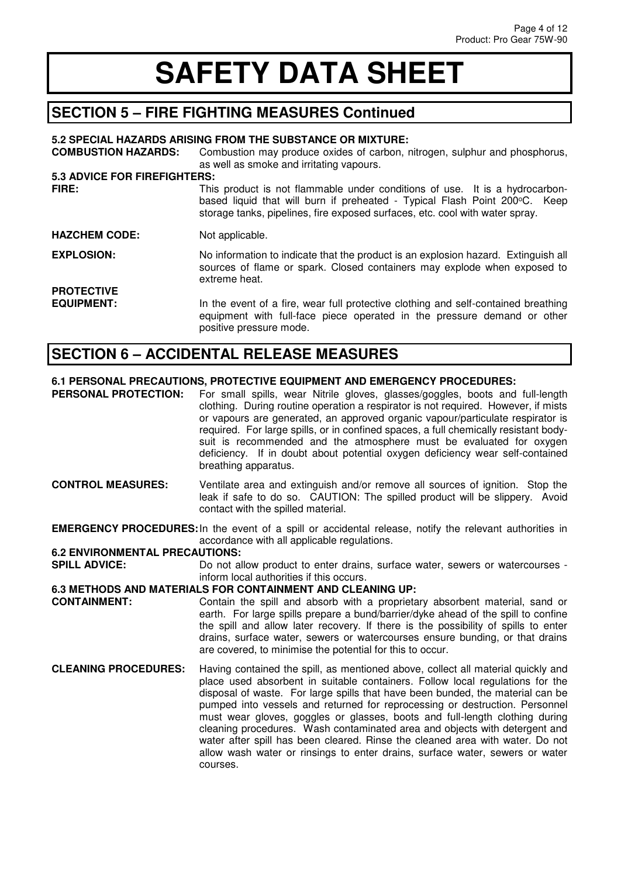#### **SECTION 5 – FIRE FIGHTING MEASURES Continued**

|                                     | 5.2 SPECIAL HAZARDS ARISING FROM THE SUBSTANCE OR MIXTURE:                                                                                                                                                                                |
|-------------------------------------|-------------------------------------------------------------------------------------------------------------------------------------------------------------------------------------------------------------------------------------------|
| <b>COMBUSTION HAZARDS:</b>          | Combustion may produce oxides of carbon, nitrogen, sulphur and phosphorus,<br>as well as smoke and irritating vapours.                                                                                                                    |
| <b>5.3 ADVICE FOR FIREFIGHTERS:</b> |                                                                                                                                                                                                                                           |
| FIRE:                               | This product is not flammable under conditions of use. It is a hydrocarbon-<br>based liquid that will burn if preheated - Typical Flash Point 200°C. Keep<br>storage tanks, pipelines, fire exposed surfaces, etc. cool with water spray. |
| <b>HAZCHEM CODE:</b>                | Not applicable.                                                                                                                                                                                                                           |
| <b>EXPLOSION:</b>                   | No information to indicate that the product is an explosion hazard. Extinguish all<br>sources of flame or spark. Closed containers may explode when exposed to<br>extreme heat.                                                           |
| <b>PROTECTIVE</b>                   |                                                                                                                                                                                                                                           |
| <b>EQUIPMENT:</b>                   | In the event of a fire, wear full protective clothing and self-contained breathing<br>equipment with full-face piece operated in the pressure demand or other<br>positive pressure mode.                                                  |

#### **SECTION 6 – ACCIDENTAL RELEASE MEASURES**

### **6.1 PERSONAL PRECAUTIONS, PROTECTIVE EQUIPMENT AND EMERGENCY PROCEDURES:**<br>**PERSONAL PROTECTION:** For small spills, wear Nitrile gloves, glasses/goggles, boots and

For small spills, wear Nitrile gloves, glasses/goggles, boots and full-length clothing. During routine operation a respirator is not required. However, if mists or vapours are generated, an approved organic vapour/particulate respirator is required. For large spills, or in confined spaces, a full chemically resistant bodysuit is recommended and the atmosphere must be evaluated for oxygen deficiency. If in doubt about potential oxygen deficiency wear self-contained breathing apparatus.

- **CONTROL MEASURES:** Ventilate area and extinguish and/or remove all sources of ignition. Stop the leak if safe to do so. CAUTION: The spilled product will be slippery. Avoid contact with the spilled material.
- **EMERGENCY PROCEDURES:** In the event of a spill or accidental release, notify the relevant authorities in accordance with all applicable regulations.

### **6.2 ENVIRONMENTAL PRECAUTIONS:**

Do not allow product to enter drains, surface water, sewers or watercourses inform local authorities if this occurs.

#### **6.3 METHODS AND MATERIALS FOR CONTAINMENT AND CLEANING UP:**

- **CONTAINMENT:** Contain the spill and absorb with a proprietary absorbent material, sand or earth. For large spills prepare a bund/barrier/dyke ahead of the spill to confine the spill and allow later recovery. If there is the possibility of spills to enter drains, surface water, sewers or watercourses ensure bunding, or that drains are covered, to minimise the potential for this to occur.
- **CLEANING PROCEDURES:** Having contained the spill, as mentioned above, collect all material quickly and place used absorbent in suitable containers. Follow local regulations for the disposal of waste. For large spills that have been bunded, the material can be pumped into vessels and returned for reprocessing or destruction. Personnel must wear gloves, goggles or glasses, boots and full-length clothing during cleaning procedures. Wash contaminated area and objects with detergent and water after spill has been cleared. Rinse the cleaned area with water. Do not allow wash water or rinsings to enter drains, surface water, sewers or water courses.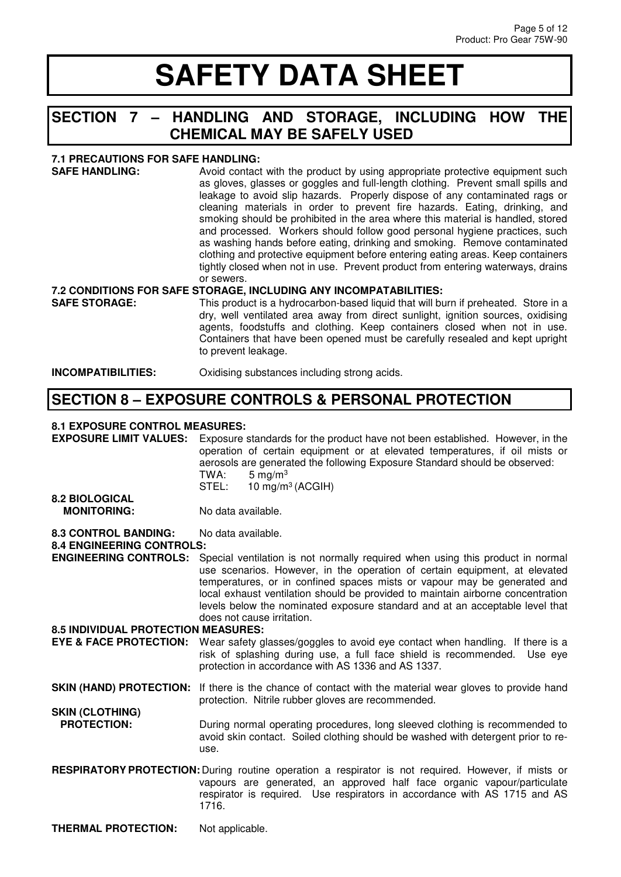#### **SECTION 7 – HANDLING AND STORAGE, INCLUDING HOW THE CHEMICAL MAY BE SAFELY USED**

**7.1 PRECAUTIONS FOR SAFE HANDLING:**  Avoid contact with the product by using appropriate protective equipment such as gloves, glasses or goggles and full-length clothing. Prevent small spills and leakage to avoid slip hazards. Properly dispose of any contaminated rags or cleaning materials in order to prevent fire hazards. Eating, drinking, and smoking should be prohibited in the area where this material is handled, stored and processed. Workers should follow good personal hygiene practices, such as washing hands before eating, drinking and smoking. Remove contaminated clothing and protective equipment before entering eating areas. Keep containers tightly closed when not in use. Prevent product from entering waterways, drains or sewers. **7.2 CONDITIONS FOR SAFE STORAGE, INCLUDING ANY INCOMPATABILITIES: SAFE STORAGE:** This product is a hydrocarbon-based liquid that will burn if preheated. Store in a dry, well ventilated area away from direct sunlight, ignition sources, oxidising agents, foodstuffs and clothing. Keep containers closed when not in use.

Containers that have been opened must be carefully resealed and kept upright

**INCOMPATIBILITIES:** Oxidising substances including strong acids.

to prevent leakage.

#### **SECTION 8 – EXPOSURE CONTROLS & PERSONAL PROTECTION**

#### **8.1 EXPOSURE CONTROL MEASURES:**

**EXPOSURE LIMIT VALUES:** Exposure standards for the product have not been established. However, in the operation of certain equipment or at elevated temperatures, if oil mists or aerosols are generated the following Exposure Standard should be observed:  $TWA$ : 5 mg/m<sup>3</sup> TWA:  $5 \text{ mg/m}^3$ <br>STEL:  $10 \text{ ma/m}^3$ 

 $10 \text{ mg/m}^3$  (ACGIH)

#### **8.2 BIOLOGICAL**  No data available.

8.3 CONTROL BANDING: No data available.

#### **8.4 ENGINEERING CONTROLS:**

**ENGINEERING CONTROLS:** Special ventilation is not normally required when using this product in normal use scenarios. However, in the operation of certain equipment, at elevated temperatures, or in confined spaces mists or vapour may be generated and local exhaust ventilation should be provided to maintain airborne concentration levels below the nominated exposure standard and at an acceptable level that does not cause irritation.

#### **8.5 INDIVIDUAL PROTECTION MEASURES:**

- **EYE & FACE PROTECTION:** Wear safety glasses/goggles to avoid eye contact when handling. If there is a risk of splashing during use, a full face shield is recommended. Use eye protection in accordance with AS 1336 and AS 1337.
- **SKIN (HAND) PROTECTION:** If there is the chance of contact with the material wear gloves to provide hand protection. Nitrile rubber gloves are recommended.
- **SKIN (CLOTHING)**  During normal operating procedures, long sleeved clothing is recommended to avoid skin contact. Soiled clothing should be washed with detergent prior to reuse.
- **RESPIRATORY PROTECTION:** During routine operation a respirator is not required. However, if mists or vapours are generated, an approved half face organic vapour/particulate respirator is required. Use respirators in accordance with AS 1715 and AS 1716.

**THERMAL PROTECTION:** Not applicable.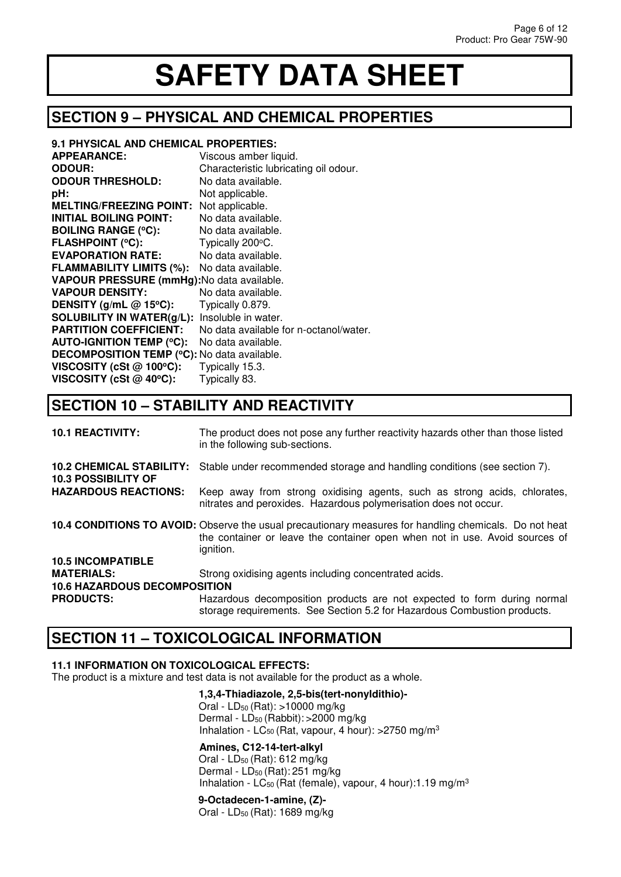#### **SECTION 9 – PHYSICAL AND CHEMICAL PROPERTIES**

| 9.1 PHYSICAL AND CHEMICAL PROPERTIES:                |                                        |
|------------------------------------------------------|----------------------------------------|
| <b>APPEARANCE:</b>                                   | Viscous amber liquid.                  |
| <b>ODOUR:</b>                                        | Characteristic lubricating oil odour.  |
| <b>ODOUR THRESHOLD:</b>                              | No data available.                     |
| pH:                                                  | Not applicable.                        |
| <b>MELTING/FREEZING POINT:</b>                       | Not applicable.                        |
| <b>INITIAL BOILING POINT:</b>                        | No data available.                     |
| <b>BOILING RANGE (°C):</b>                           | No data available.                     |
| <b>FLASHPOINT (°C):</b>                              | Typically 200°C.                       |
| <b>EVAPORATION RATE:</b>                             | No data available.                     |
| <b>FLAMMABILITY LIMITS (%):</b>                      | No data available.                     |
| VAPOUR PRESSURE (mmHg): No data available.           |                                        |
| <b>VAPOUR DENSITY:</b>                               | No data available.                     |
| DENSITY (g/mL $@$ 15°C):                             | Typically 0.879.                       |
| <b>SOLUBILITY IN WATER(g/L):</b> Insoluble in water. |                                        |
| <b>PARTITION COEFFICIENT:</b>                        | No data available for n-octanol/water. |
| <b>AUTO-IGNITION TEMP (°C):</b>                      | No data available.                     |
| <b>DECOMPOSITION TEMP (°C): No data available.</b>   |                                        |
| VISCOSITY (cSt $@$ 100°C):                           | Typically 15.3.                        |
| VISCOSITY (cSt $@$ 40 $°C$ ):                        | Typically 83.                          |

### **SECTION 10 – STABILITY AND REACTIVITY**

| <b>10.1 REACTIVITY:</b>                                       | The product does not pose any further reactivity hazards other than those listed<br>in the following sub-sections.                                                                                 |
|---------------------------------------------------------------|----------------------------------------------------------------------------------------------------------------------------------------------------------------------------------------------------|
| <b>10.2 CHEMICAL STABILITY:</b><br><b>10.3 POSSIBILITY OF</b> | Stable under recommended storage and handling conditions (see section 7).                                                                                                                          |
| <b>HAZARDOUS REACTIONS:</b>                                   | Keep away from strong oxidising agents, such as strong acids, chlorates,<br>nitrates and peroxides. Hazardous polymerisation does not occur.                                                       |
|                                                               | 10.4 CONDITIONS TO AVOID: Observe the usual precautionary measures for handling chemicals. Do not heat<br>the container or leave the container open when not in use. Avoid sources of<br>ignition. |
| <b>10.5 INCOMPATIBLE</b>                                      |                                                                                                                                                                                                    |
| <b>MATERIALS:</b>                                             | Strong oxidising agents including concentrated acids.                                                                                                                                              |
| <b>10.6 HAZARDOUS DECOMPOSITION</b>                           |                                                                                                                                                                                                    |
| <b>PRODUCTS:</b>                                              | Hazardous decomposition products are not expected to form during normal<br>storage requirements. See Section 5.2 for Hazardous Combustion products.                                                |

#### **SECTION 11 – TOXICOLOGICAL INFORMATION**

#### **11.1 INFORMATION ON TOXICOLOGICAL EFFECTS:**

The product is a mixture and test data is not available for the product as a whole.

#### **1,3,4-Thiadiazole, 2,5-bis(tert-nonyldithio)-**

 Oral - LD<sup>50</sup> (Rat): >10000 mg/kg Dermal - LD<sub>50</sub> (Rabbit): > 2000 mg/kg Inhalation - LC<sub>50</sub> (Rat, vapour, 4 hour):  $>2750$  mg/m<sup>3</sup>

#### **Amines, C12-14-tert-alkyl**

Oral - LD<sup>50</sup> (Rat): 612 mg/kg Dermal - LD<sub>50</sub> (Rat): 251 mg/kg Inhalation -  $LC_{50}$  (Rat (female), vapour, 4 hour):1.19 mg/m<sup>3</sup>

#### **9-Octadecen-1-amine, (Z)-**

Oral - LD<sup>50</sup> (Rat): 1689 mg/kg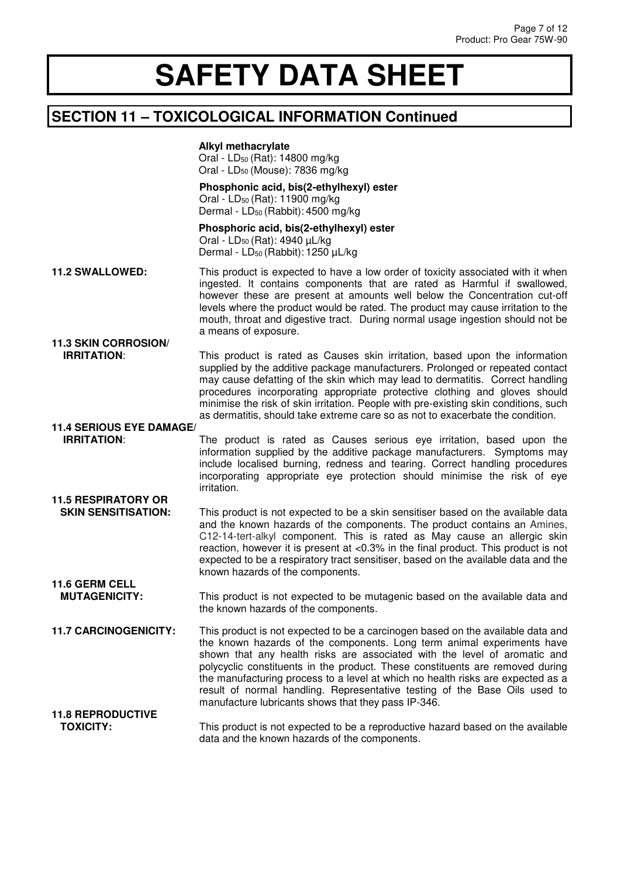#### **SECTION 11 – TOXICOLOGICAL INFORMATION Continued**

 **Alkyl methacrylate** Oral - LD<sup>50</sup> (Rat): 14800 mg/kg Oral - LD<sup>50</sup> (Mouse): 7836 mg/kg

**Phosphonic acid, bis(2-ethylhexyl) ester** Oral - LD<sub>50</sub> (Rat): 11900 mg/kg Dermal - LD<sub>50</sub> (Rabbit): 4500 mg/kg

 **Phosphoric acid, bis(2-ethylhexyl) ester** Oral - LD<sup>50</sup> (Rat): 4940 µL/kg Dermal - LD<sub>50</sub> (Rabbit): 1250 uL/kg

- **11.2 SWALLOWED:** This product is expected to have a low order of toxicity associated with it when ingested. It contains components that are rated as Harmful if swallowed, however these are present at amounts well below the Concentration cut-off levels where the product would be rated. The product may cause irritation to the mouth, throat and digestive tract. During normal usage ingestion should not be a means of exposure. **11.3 SKIN CORROSION/**
- **IRRITATION:** This product is rated as Causes skin irritation, based upon the information supplied by the additive package manufacturers. Prolonged or repeated contact may cause defatting of the skin which may lead to dermatitis. Correct handling procedures incorporating appropriate protective clothing and gloves should minimise the risk of skin irritation. People with pre-existing skin conditions, such as dermatitis, should take extreme care so as not to exacerbate the condition.

### **11.4 SERIOUS EYE DAMAGE<br>IRRITATION:**

**11.6 GERM CELL** 

The product is rated as Causes serious eye irritation, based upon the information supplied by the additive package manufacturers. Symptoms may include localised burning, redness and tearing. Correct handling procedures incorporating appropriate eye protection should minimise the risk of eye irritation.

#### **11.5 RESPIRATORY OR SKIN SENSITISATION:** This product is not expected to be a skin sensitiser based on the available data and the known hazards of the components. The product contains an Amines, C12-14-tert-alkyl component. This is rated as May cause an allergic skin reaction, however it is present at <0.3% in the final product. This product is not expected to be a respiratory tract sensitiser, based on the available data and the known hazards of the components.

**MUTAGENICITY:** This product is not expected to be mutagenic based on the available data and the known hazards of the components.

**11.7 CARCINOGENICITY:** This product is not expected to be a carcinogen based on the available data and the known hazards of the components. Long term animal experiments have shown that any health risks are associated with the level of aromatic and polycyclic constituents in the product. These constituents are removed during the manufacturing process to a level at which no health risks are expected as a result of normal handling. Representative testing of the Base Oils used to manufacture lubricants shows that they pass IP-346.

#### **11.8 REPRODUCTIVE**  This product is not expected to be a reproductive hazard based on the available data and the known hazards of the components.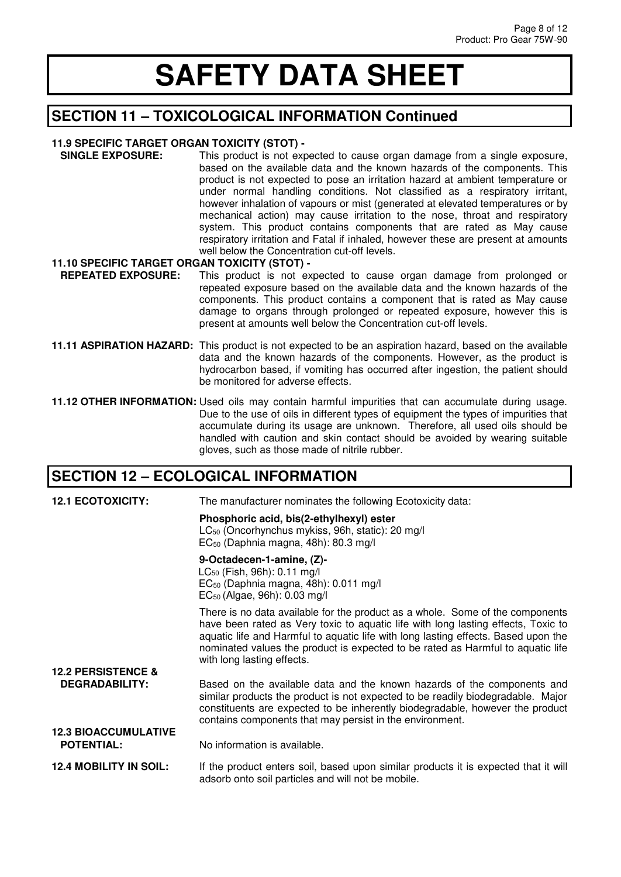#### **SECTION 11 – TOXICOLOGICAL INFORMATION Continued**

#### **11.9 SPECIFIC TARGET ORGAN TOXICITY (STOT) -**

 **SINGLE EXPOSURE:** This product is not expected to cause organ damage from a single exposure, based on the available data and the known hazards of the components. This product is not expected to pose an irritation hazard at ambient temperature or under normal handling conditions. Not classified as a respiratory irritant, however inhalation of vapours or mist (generated at elevated temperatures or by mechanical action) may cause irritation to the nose, throat and respiratory system. This product contains components that are rated as May cause respiratory irritation and Fatal if inhaled, however these are present at amounts well below the Concentration cut-off levels.

#### **11.10 SPECIFIC TARGET ORGAN TOXICITY (STOT) -**

- **REPEATED EXPOSURE:** This product is not expected to cause organ damage from prolonged or repeated exposure based on the available data and the known hazards of the components. This product contains a component that is rated as May cause damage to organs through prolonged or repeated exposure, however this is present at amounts well below the Concentration cut-off levels.
- **11.11 ASPIRATION HAZARD:** This product is not expected to be an aspiration hazard, based on the available data and the known hazards of the components. However, as the product is hydrocarbon based, if vomiting has occurred after ingestion, the patient should be monitored for adverse effects.
- **11.12 OTHER INFORMATION:** Used oils may contain harmful impurities that can accumulate during usage. Due to the use of oils in different types of equipment the types of impurities that accumulate during its usage are unknown. Therefore, all used oils should be handled with caution and skin contact should be avoided by wearing suitable gloves, such as those made of nitrile rubber.

#### **SECTION 12 – ECOLOGICAL INFORMATION**

| <b>12.1 ECOTOXICITY:</b>                               | The manufacturer nominates the following Ecotoxicity data:                                                                                                                                                                                                                                                                                                                |
|--------------------------------------------------------|---------------------------------------------------------------------------------------------------------------------------------------------------------------------------------------------------------------------------------------------------------------------------------------------------------------------------------------------------------------------------|
|                                                        | Phosphoric acid, bis(2-ethylhexyl) ester<br>LC <sub>50</sub> (Oncorhynchus mykiss, 96h, static): 20 mg/l<br>$EC_{50}$ (Daphnia magna, 48h): 80.3 mg/l                                                                                                                                                                                                                     |
|                                                        | 9-Octadecen-1-amine, (Z)-<br>LC <sub>50</sub> (Fish, 96h): 0.11 mg/l<br>$EC_{50}$ (Daphnia magna, 48h): 0.011 mg/l<br>$EC_{50}$ (Algae, 96h): 0.03 mg/l                                                                                                                                                                                                                   |
|                                                        | There is no data available for the product as a whole. Some of the components<br>have been rated as Very toxic to aquatic life with long lasting effects, Toxic to<br>aquatic life and Harmful to aquatic life with long lasting effects. Based upon the<br>nominated values the product is expected to be rated as Harmful to aquatic life<br>with long lasting effects. |
| <b>12.2 PERSISTENCE &amp;</b><br><b>DEGRADABILITY:</b> | Based on the available data and the known hazards of the components and<br>similar products the product is not expected to be readily biodegradable. Major<br>constituents are expected to be inherently biodegradable, however the product<br>contains components that may persist in the environment.                                                                   |
| <b>12.3 BIOACCUMULATIVE</b><br><b>POTENTIAL:</b>       | No information is available.                                                                                                                                                                                                                                                                                                                                              |
| <b>12.4 MOBILITY IN SOIL:</b>                          | If the product enters soil, based upon similar products it is expected that it will<br>adsorb onto soil particles and will not be mobile.                                                                                                                                                                                                                                 |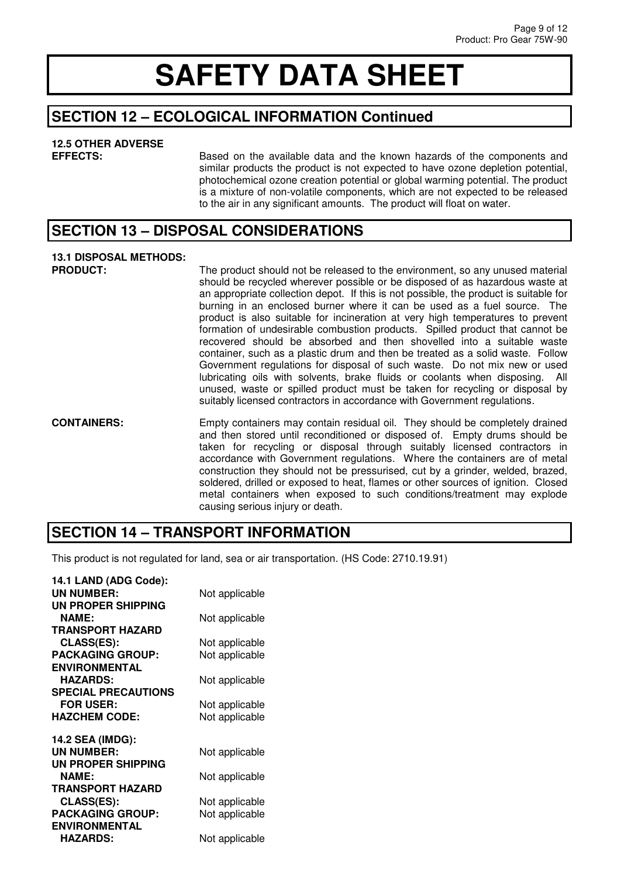#### **SECTION 12 – ECOLOGICAL INFORMATION Continued**

### **12.5 OTHER ADVERSE**

Based on the available data and the known hazards of the components and similar products the product is not expected to have ozone depletion potential, photochemical ozone creation potential or global warming potential. The product is a mixture of non-volatile components, which are not expected to be released to the air in any significant amounts. The product will float on water.

#### **SECTION 13 – DISPOSAL CONSIDERATIONS**

### **13.1 DISPOSAL METHODS:**

The product should not be released to the environment, so any unused material should be recycled wherever possible or be disposed of as hazardous waste at an appropriate collection depot. If this is not possible, the product is suitable for burning in an enclosed burner where it can be used as a fuel source. The product is also suitable for incineration at very high temperatures to prevent formation of undesirable combustion products. Spilled product that cannot be recovered should be absorbed and then shovelled into a suitable waste container, such as a plastic drum and then be treated as a solid waste. Follow Government regulations for disposal of such waste. Do not mix new or used lubricating oils with solvents, brake fluids or coolants when disposing. All unused, waste or spilled product must be taken for recycling or disposal by suitably licensed contractors in accordance with Government regulations.

**CONTAINERS:** Empty containers may contain residual oil. They should be completely drained and then stored until reconditioned or disposed of. Empty drums should be taken for recycling or disposal through suitably licensed contractors in accordance with Government regulations. Where the containers are of metal construction they should not be pressurised, cut by a grinder, welded, brazed, soldered, drilled or exposed to heat, flames or other sources of ignition. Closed metal containers when exposed to such conditions/treatment may explode causing serious injury or death.

### **SECTION 14 – TRANSPORT INFORMATION**

This product is not regulated for land, sea or air transportation. (HS Code: 2710.19.91)

| 14.1 LAND (ADG Code):      |                |
|----------------------------|----------------|
| UN NUMBER:                 | Not applicable |
| <b>UN PROPER SHIPPING</b>  |                |
| <b>NAME:</b>               | Not applicable |
| <b>TRANSPORT HAZARD</b>    |                |
| <b>CLASS(ES):</b>          | Not applicable |
| <b>PACKAGING GROUP:</b>    | Not applicable |
| <b>ENVIRONMENTAL</b>       |                |
| <b>HAZARDS:</b>            | Not applicable |
| <b>SPECIAL PRECAUTIONS</b> |                |
| <b>FOR USER:</b>           | Not applicable |
| <b>HAZCHEM CODE:</b>       | Not applicable |
| 14.2 SEA (IMDG):           |                |
| UN NUMBER:                 | Not applicable |
| UN PROPER SHIPPING         |                |
| <b>NAME:</b>               | Not applicable |
| <b>TRANSPORT HAZARD</b>    |                |
| <b>CLASS(ES):</b>          | Not applicable |
| <b>PACKAGING GROUP:</b>    | Not applicable |
| <b>ENVIRONMENTAL</b>       |                |
| <b>HAZARDS:</b>            | Not applicable |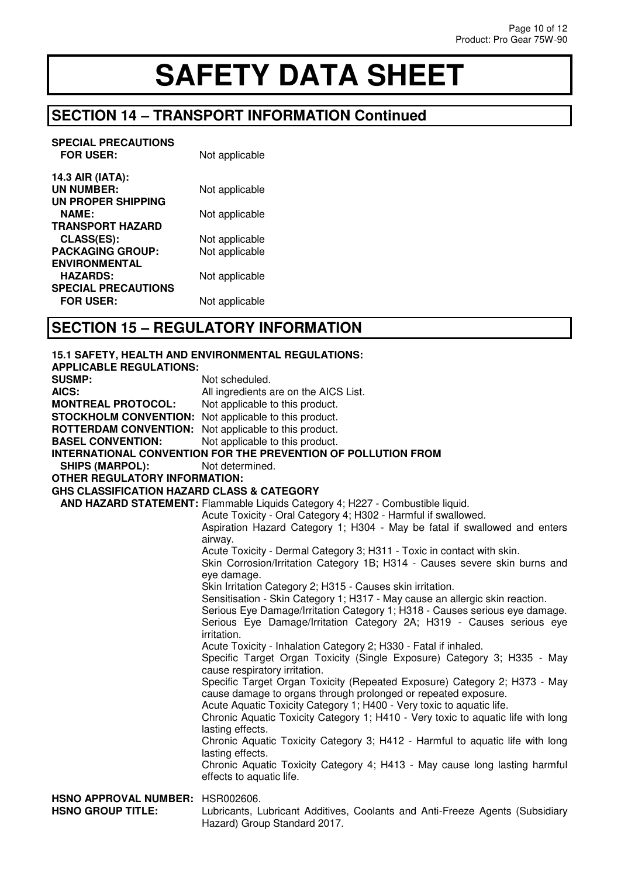### **SECTION 14 – TRANSPORT INFORMATION Continued**

| <b>SPECIAL PRECAUTIONS</b><br><b>FOR USER:</b> | Not applicable |
|------------------------------------------------|----------------|
| 14.3 AIR (IATA):                               |                |
| UN NUMBER:                                     | Not applicable |
| UN PROPER SHIPPING                             |                |
| <b>NAME:</b>                                   | Not applicable |
| <b>TRANSPORT HAZARD</b>                        |                |
| <b>CLASS(ES):</b>                              | Not applicable |
| <b>PACKAGING GROUP:</b>                        | Not applicable |
| <b>ENVIRONMENTAL</b>                           |                |
| <b>HAZARDS:</b>                                | Not applicable |
| <b>SPECIAL PRECAUTIONS</b>                     |                |
| <b>FOR USER:</b>                               | Not applicable |

### **SECTION 15 – REGULATORY INFORMATION**

|                                                              | 15.1 SAFETY, HEALTH AND ENVIRONMENTAL REGULATIONS:                                                                                                          |
|--------------------------------------------------------------|-------------------------------------------------------------------------------------------------------------------------------------------------------------|
| <b>APPLICABLE REGULATIONS:</b>                               |                                                                                                                                                             |
| <b>SUSMP:</b>                                                | Not scheduled.                                                                                                                                              |
| AICS:                                                        | All ingredients are on the AICS List.                                                                                                                       |
| <b>MONTREAL PROTOCOL:</b>                                    | Not applicable to this product.                                                                                                                             |
| <b>STOCKHOLM CONVENTION:</b> Not applicable to this product. |                                                                                                                                                             |
| <b>ROTTERDAM CONVENTION:</b> Not applicable to this product. |                                                                                                                                                             |
| <b>BASEL CONVENTION:</b>                                     | Not applicable to this product.                                                                                                                             |
|                                                              | <b>INTERNATIONAL CONVENTION FOR THE PREVENTION OF POLLUTION FROM</b>                                                                                        |
| <b>SHIPS (MARPOL):</b>                                       | Not determined.                                                                                                                                             |
| <b>OTHER REGULATORY INFORMATION:</b>                         |                                                                                                                                                             |
| <b>GHS CLASSIFICATION HAZARD CLASS &amp; CATEGORY</b>        |                                                                                                                                                             |
|                                                              | AND HAZARD STATEMENT: Flammable Liquids Category 4; H227 - Combustible liquid.                                                                              |
|                                                              | Acute Toxicity - Oral Category 4; H302 - Harmful if swallowed.                                                                                              |
|                                                              | Aspiration Hazard Category 1; H304 - May be fatal if swallowed and enters                                                                                   |
|                                                              | airway.                                                                                                                                                     |
|                                                              | Acute Toxicity - Dermal Category 3; H311 - Toxic in contact with skin.                                                                                      |
|                                                              | Skin Corrosion/Irritation Category 1B; H314 - Causes severe skin burns and                                                                                  |
|                                                              | eye damage.                                                                                                                                                 |
|                                                              | Skin Irritation Category 2; H315 - Causes skin irritation.                                                                                                  |
|                                                              | Sensitisation - Skin Category 1; H317 - May cause an allergic skin reaction.<br>Serious Eye Damage/Irritation Category 1; H318 - Causes serious eye damage. |
|                                                              | Serious Eye Damage/Irritation Category 2A; H319 - Causes serious eye                                                                                        |
|                                                              | irritation.                                                                                                                                                 |
|                                                              | Acute Toxicity - Inhalation Category 2; H330 - Fatal if inhaled.                                                                                            |
|                                                              | Specific Target Organ Toxicity (Single Exposure) Category 3; H335 - May                                                                                     |
|                                                              | cause respiratory irritation.                                                                                                                               |
|                                                              | Specific Target Organ Toxicity (Repeated Exposure) Category 2; H373 - May                                                                                   |
|                                                              | cause damage to organs through prolonged or repeated exposure.                                                                                              |
|                                                              | Acute Aquatic Toxicity Category 1; H400 - Very toxic to aquatic life.                                                                                       |
|                                                              | Chronic Aquatic Toxicity Category 1; H410 - Very toxic to aquatic life with long                                                                            |
|                                                              | lasting effects.                                                                                                                                            |
|                                                              | Chronic Aquatic Toxicity Category 3; H412 - Harmful to aquatic life with long                                                                               |
|                                                              | lasting effects.                                                                                                                                            |
|                                                              | Chronic Aquatic Toxicity Category 4; H413 - May cause long lasting harmful                                                                                  |
|                                                              | effects to aquatic life.                                                                                                                                    |
| HSNO APPROVAL NUMBER: HSR002606.                             |                                                                                                                                                             |
| <b>HSNO GROUP TITLE:</b>                                     | Lubricants, Lubricant Additives, Coolants and Anti-Freeze Agents (Subsidiary                                                                                |
|                                                              | Hazard) Group Standard 2017.                                                                                                                                |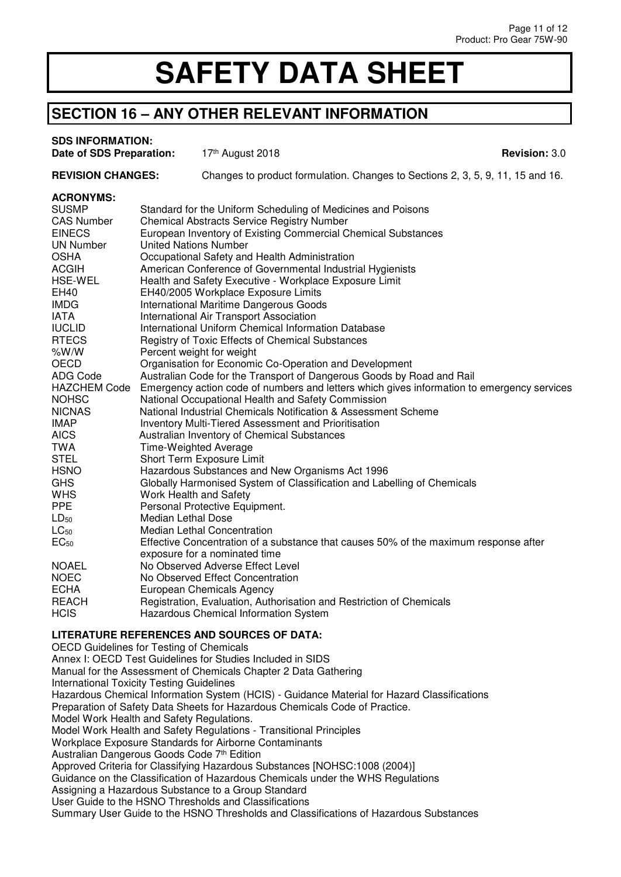#### **SECTION 16 – ANY OTHER RELEVANT INFORMATION**

#### **SDS INFORMATION:**

**Date of SDS Preparation:**  $17<sup>th</sup>$  August 2018<br>**Date of SDS Preparation:**  $17<sup>th</sup>$  August 2018

**REVISION CHANGES:** Changes to product formulation. Changes to Sections 2, 3, 5, 9, 11, 15 and 16.

#### **ACRONYMS:**

| <b>SUSMP</b>        | Standard for the Uniform Scheduling of Medicines and Poisons                               |
|---------------------|--------------------------------------------------------------------------------------------|
| <b>CAS Number</b>   | <b>Chemical Abstracts Service Registry Number</b>                                          |
| <b>EINECS</b>       | European Inventory of Existing Commercial Chemical Substances                              |
| UN Number           | <b>United Nations Number</b>                                                               |
| <b>OSHA</b>         | Occupational Safety and Health Administration                                              |
| <b>ACGIH</b>        | American Conference of Governmental Industrial Hygienists                                  |
| <b>HSE-WEL</b>      | Health and Safety Executive - Workplace Exposure Limit                                     |
| EH40                | EH40/2005 Workplace Exposure Limits                                                        |
| <b>IMDG</b>         | International Maritime Dangerous Goods                                                     |
| IATA                | International Air Transport Association                                                    |
| <b>IUCLID</b>       | International Uniform Chemical Information Database                                        |
| <b>RTECS</b>        | Registry of Toxic Effects of Chemical Substances                                           |
| %W/W                | Percent weight for weight                                                                  |
| <b>OECD</b>         | Organisation for Economic Co-Operation and Development                                     |
| ADG Code            | Australian Code for the Transport of Dangerous Goods by Road and Rail                      |
| <b>HAZCHEM Code</b> | Emergency action code of numbers and letters which gives information to emergency services |
| <b>NOHSC</b>        | National Occupational Health and Safety Commission                                         |
| <b>NICNAS</b>       | National Industrial Chemicals Notification & Assessment Scheme                             |
| <b>IMAP</b>         | Inventory Multi-Tiered Assessment and Prioritisation                                       |
| <b>AICS</b>         | Australian Inventory of Chemical Substances                                                |
| TWA                 | <b>Time-Weighted Average</b>                                                               |
| <b>STEL</b>         | Short Term Exposure Limit                                                                  |
| <b>HSNO</b>         | Hazardous Substances and New Organisms Act 1996                                            |
| <b>GHS</b>          | Globally Harmonised System of Classification and Labelling of Chemicals                    |
| <b>WHS</b>          | Work Health and Safety                                                                     |
| <b>PPE</b>          | Personal Protective Equipment.                                                             |
| $LD_{50}$           | <b>Median Lethal Dose</b>                                                                  |
| $LC_{50}$           | <b>Median Lethal Concentration</b>                                                         |
| EC <sub>50</sub>    | Effective Concentration of a substance that causes 50% of the maximum response after       |
|                     | exposure for a nominated time                                                              |
| <b>NOAEL</b>        | No Observed Adverse Effect Level                                                           |
| <b>NOEC</b>         | No Observed Effect Concentration                                                           |
| <b>ECHA</b>         | European Chemicals Agency                                                                  |
| <b>REACH</b>        | Registration, Evaluation, Authorisation and Restriction of Chemicals                       |
| <b>HCIS</b>         | <b>Hazardous Chemical Information System</b>                                               |

#### **LITERATURE REFERENCES AND SOURCES OF DATA:**

OECD Guidelines for Testing of Chemicals Annex I: OECD Test Guidelines for Studies Included in SIDS Manual for the Assessment of Chemicals Chapter 2 Data Gathering International Toxicity Testing Guidelines Hazardous Chemical Information System (HCIS) - Guidance Material for Hazard Classifications Preparation of Safety Data Sheets for Hazardous Chemicals Code of Practice. Model Work Health and Safety Regulations. Model Work Health and Safety Regulations - Transitional Principles Workplace Exposure Standards for Airborne Contaminants Australian Dangerous Goods Code 7<sup>th</sup> Edition Approved Criteria for Classifying Hazardous Substances [NOHSC:1008 (2004)] Guidance on the Classification of Hazardous Chemicals under the WHS Regulations Assigning a Hazardous Substance to a Group Standard User Guide to the HSNO Thresholds and Classifications Summary User Guide to the HSNO Thresholds and Classifications of Hazardous Substances